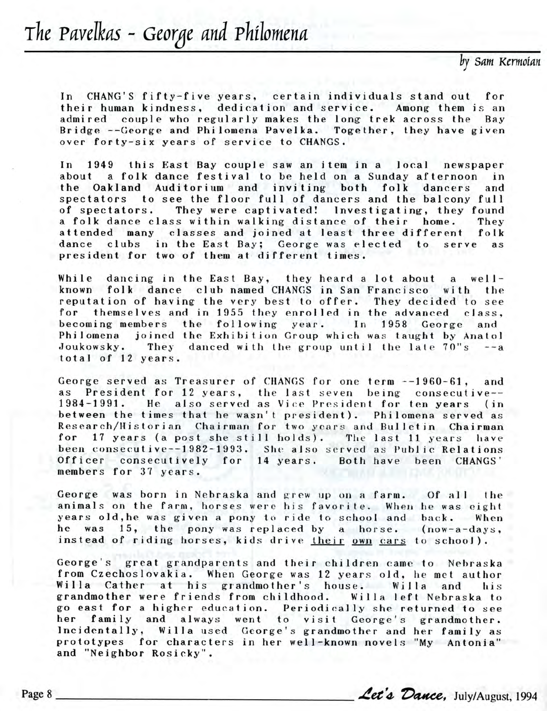*Sam Kcrmoian*

In CHANG'S fifty-five years, certain individuals stand out for their human kindness, dedication and service. Among them is an admired couple who regularly makes the long trek across the Bay Bridge --George and Philomena Pavelka. Together, they have given over forty-six years of service to CHANGS.

In 1949 this East Bay couple saw an item in a local newspaper about a folk dance festival to be held on a Sunday afternoon in the Oakland Auditorium and inviting both folk dancers and spectators to see the floor full of dancers and the balcony full of spectators. They were captivated! Investigating, they found a folk dance class within walking distance of their home. They attended many classes and joined at least three different folk dance clubs in the East Bay; George was elected to serve as president for two of them at different times.

While dancing in the East Bay, they heard a lot about a well known folk dance club named CHANGS in San Francisco with the reputation of having the very best to offer. They decided to see for themselves and in 1955 they enrolled in the advanced class, becoming members the following year. In 1958 George Philomena joined the Exhibition Group which was taught by Anatol Joukowsky. They danced with the group until the late  $70"s$  --a total of 12 years.

George served as Treasurer of CHANGS for one term --1960-61, and as President for 12 years, the last seven being consecutive--1984-1991. He also served as Vic e President for ten years (in between the times that he wasn't president). Philomena served as Research/Historian Chairman for two years and Bulletin Chairman for 17 years (a post she still holds). The last 11 years have been consecutive--1982-1993. She also served as Public Relations Officer consecutively for 14 years. Both have been CHANGS' members for 37 years.

George was born in Nebraska and grew up on a farm. Of all the animals on the farm, horses were his favorite. When he was eight years old, he was given a pony to ride to school and back. When he was 15, the pony was replaced by a horse. (now-a-days, instead of riding horses, kids drive their own cars to school).

George's great grandparents and their children came to Nebraska from Czechoslovakia. When George was 12 years old, he met author Willa Cather at his grandmother's house. Willa and his grandmother were friends from childhood. Willa left Nebraska to go east for a higher education. Periodically she returned to see her family and always went to visit George's grandmother. Incidentally, Willa used George's grandmother and her family as prototypes for characters in her well-known novels "My Antonia" and "Neighbor Rosicky". her family and always went to visit George's grandmother.<br>Incidentally, Willa used George's grandmother and her family as<br>prototypes for characters in her well-known novels "My Antonia"<br>and "Neighbor Rosicky".<br>Page 8